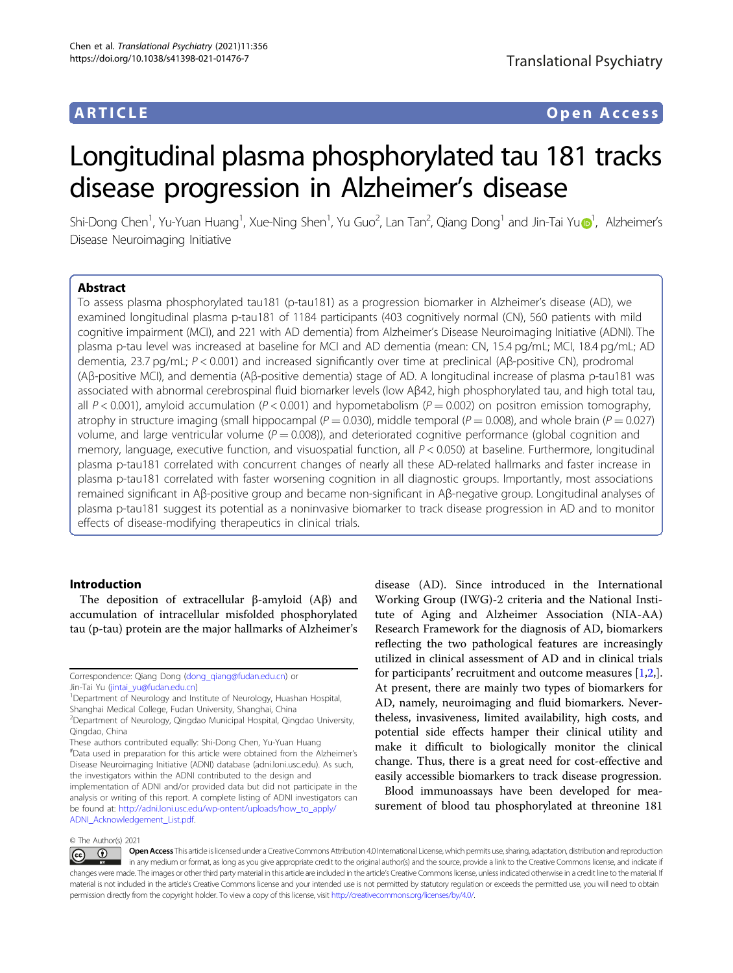# ARTICLE Open Access

# Longitudinal plasma phosphorylated tau 181 tracks disease progression in Alzheimer's disease

Shi-Dong Chen<sup>[1](http://orcid.org/0000-0002-2532-383X)</sup>, Yu-Yuan Huang<sup>1</sup>, Xue-Ning Shen<sup>1</sup>, Yu Guo<sup>2</sup>, Lan Tan<sup>2</sup>, Qiang Dong<sup>1</sup> and Jin-Tai Yu@<sup>1</sup>, Alzheimer's Disease Neuroimaging Initiative

# Abstract

To assess plasma phosphorylated tau181 (p-tau181) as a progression biomarker in Alzheimer's disease (AD), we examined longitudinal plasma p-tau181 of 1184 participants (403 cognitively normal (CN), 560 patients with mild cognitive impairment (MCI), and 221 with AD dementia) from Alzheimer's Disease Neuroimaging Initiative (ADNI). The plasma p-tau level was increased at baseline for MCI and AD dementia (mean: CN, 15.4 pg/mL; MCI, 18.4 pg/mL; AD dementia, 23.7 pg/mL; P < 0.001) and increased significantly over time at preclinical (Αβ-positive CN), prodromal (Aβ-positive MCI), and dementia (Aβ-positive dementia) stage of AD. A longitudinal increase of plasma p-tau181 was associated with abnormal cerebrospinal fluid biomarker levels (low Aβ42, high phosphorylated tau, and high total tau, all  $P < 0.001$ ), amyloid accumulation ( $P < 0.001$ ) and hypometabolism ( $P = 0.002$ ) on positron emission tomography, atrophy in structure imaging (small hippocampal ( $P = 0.030$ ), middle temporal ( $P = 0.008$ ), and whole brain ( $P = 0.027$ ) volume, and large ventricular volume ( $P = 0.008$ )), and deteriorated cognitive performance (global cognition and memory, language, executive function, and visuospatial function, all P < 0.050) at baseline. Furthermore, longitudinal plasma p-tau181 correlated with concurrent changes of nearly all these AD-related hallmarks and faster increase in plasma p-tau181 correlated with faster worsening cognition in all diagnostic groups. Importantly, most associations remained significant in Aβ-positive group and became non-significant in Aβ-negative group. Longitudinal analyses of plasma p-tau181 suggest its potential as a noninvasive biomarker to track disease progression in AD and to monitor effects of disease-modifying therapeutics in clinical trials.

# Introduction

The deposition of extracellular β-amyloid (Aβ) and accumulation of intracellular misfolded phosphorylated tau (p-tau) protein are the major hallmarks of Alzheimer's

These authors contributed equally: Shi-Dong Chen, Yu-Yuan Huang # Data used in preparation for this article were obtained from the Alzheimer's Disease Neuroimaging Initiative (ADNI) database (adni.loni.usc.edu). As such, the investigators within the ADNI contributed to the design and implementation of ADNI and/or provided data but did not participate in the

analysis or writing of this report. A complete listing of ADNI investigators can be found at: [http://adni.loni.usc.edu/wp-ontent/uploads/how\\_to\\_apply/](http://adni.loni.usc.edu/wp-ontent/uploads/how_to_apply/ADNI_Acknowledgement_List.pdf) [ADNI\\_Acknowledgement\\_List.pdf.](http://adni.loni.usc.edu/wp-ontent/uploads/how_to_apply/ADNI_Acknowledgement_List.pdf)

disease (AD). Since introduced in the International Working Group (IWG)-2 criteria and the National Institute of Aging and Alzheimer Association (NIA-AA) Research Framework for the diagnosis of AD, biomarkers reflecting the two pathological features are increasingly utilized in clinical assessment of AD and in clinical trials for participants' recruitment and outcome measures  $[1,2]$  $[1,2]$ . At present, there are mainly two types of biomarkers for AD, namely, neuroimaging and fluid biomarkers. Nevertheless, invasiveness, limited availability, high costs, and potential side effects hamper their clinical utility and make it difficult to biologically monitor the clinical change. Thus, there is a great need for cost-effective and easily accessible biomarkers to track disease progression.

Blood immunoassays have been developed for measurement of blood tau phosphorylated at threonine 181

Correspondence: Qiang Dong [\(dong\\_qiang@fudan.edu.cn\)](mailto:dong_qiang@fudan.edu.cn) or Jin-Tai Yu ([jintai\\_yu@fudan.edu.cn\)](mailto:jintai_yu@fudan.edu.cn)

<sup>&</sup>lt;sup>1</sup>Department of Neurology and Institute of Neurology, Huashan Hospital, Shanghai Medical College, Fudan University, Shanghai, China

<sup>2</sup> Department of Neurology, Qingdao Municipal Hospital, Qingdao University, Qingdao, China

<sup>©</sup> The Author(s) 2021

Open Access This article is licensed under a Creative Commons Attribution 4.0 International License, which permits use, sharing, adaptation, distribution and reproduction  $\bigcirc$  $\left[{\rm (cc)}\right]$ in any medium or format, as long as you give appropriate credit to the original author(s) and the source, provide a link to the Creative Commons license, and indicate if changes were made. The images or other third party material in this article are included in the article's Creative Commons license, unless indicated otherwise in a credit line to the material. If material is not included in the article's Creative Commons license and your intended use is not permitted by statutory regulation or exceeds the permitted use, you will need to obtain permission directly from the copyright holder. To view a copy of this license, visit <http://creativecommons.org/licenses/by/4.0/>.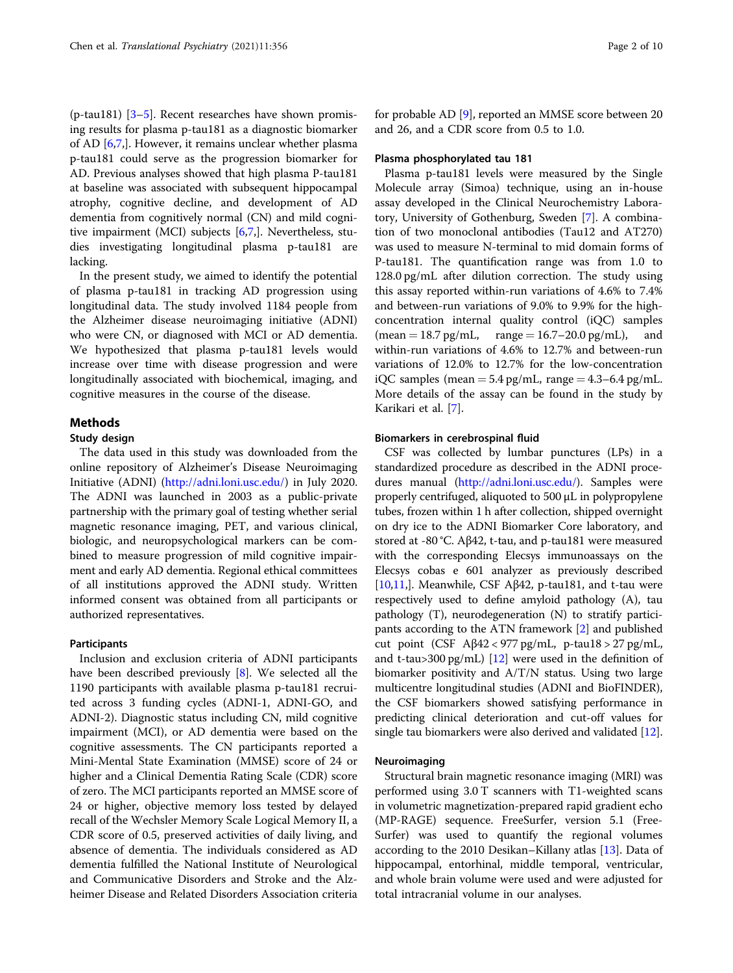(p-tau181)  $[3-5]$  $[3-5]$  $[3-5]$  $[3-5]$  $[3-5]$ . Recent researches have shown promising results for plasma p-tau181 as a diagnostic biomarker of AD [\[6,7](#page-9-0),]. However, it remains unclear whether plasma p-tau181 could serve as the progression biomarker for AD. Previous analyses showed that high plasma P-tau181 at baseline was associated with subsequent hippocampal atrophy, cognitive decline, and development of AD dementia from cognitively normal (CN) and mild cognitive impairment (MCI) subjects [\[6,7](#page-9-0),]. Nevertheless, studies investigating longitudinal plasma p-tau181 are lacking.

In the present study, we aimed to identify the potential of plasma p-tau181 in tracking AD progression using longitudinal data. The study involved 1184 people from the Alzheimer disease neuroimaging initiative (ADNI) who were CN, or diagnosed with MCI or AD dementia. We hypothesized that plasma p-tau181 levels would increase over time with disease progression and were longitudinally associated with biochemical, imaging, and cognitive measures in the course of the disease.

# Methods

# Study design

The data used in this study was downloaded from the online repository of Alzheimer's Disease Neuroimaging Initiative (ADNI) [\(http://adni.loni.usc.edu/](http://adni.loni.usc.edu/)) in July 2020. The ADNI was launched in 2003 as a public-private partnership with the primary goal of testing whether serial magnetic resonance imaging, PET, and various clinical, biologic, and neuropsychological markers can be combined to measure progression of mild cognitive impairment and early AD dementia. Regional ethical committees of all institutions approved the ADNI study. Written informed consent was obtained from all participants or authorized representatives.

### Participants

Inclusion and exclusion criteria of ADNI participants have been described previously [[8](#page-9-0)]. We selected all the 1190 participants with available plasma p-tau181 recruited across 3 funding cycles (ADNI-1, ADNI-GO, and ADNI-2). Diagnostic status including CN, mild cognitive impairment (MCI), or AD dementia were based on the cognitive assessments. The CN participants reported a Mini-Mental State Examination (MMSE) score of 24 or higher and a Clinical Dementia Rating Scale (CDR) score of zero. The MCI participants reported an MMSE score of 24 or higher, objective memory loss tested by delayed recall of the Wechsler Memory Scale Logical Memory II, a CDR score of 0.5, preserved activities of daily living, and absence of dementia. The individuals considered as AD dementia fulfilled the National Institute of Neurological and Communicative Disorders and Stroke and the Alzheimer Disease and Related Disorders Association criteria

for probable AD [\[9](#page-9-0)], reported an MMSE score between 20 and 26, and a CDR score from 0.5 to 1.0.

#### Plasma phosphorylated tau 181

Plasma p-tau181 levels were measured by the Single Molecule array (Simoa) technique, using an in-house assay developed in the Clinical Neurochemistry Laboratory, University of Gothenburg, Sweden [[7\]](#page-9-0). A combination of two monoclonal antibodies (Tau12 and AT270) was used to measure N-terminal to mid domain forms of P-tau181. The quantification range was from 1.0 to 128.0 pg/mL after dilution correction. The study using this assay reported within-run variations of 4.6% to 7.4% and between-run variations of 9.0% to 9.9% for the highconcentration internal quality control (iQC) samples  $(mean = 18.7 \text{ pg/mL}, \text{range} = 16.7-20.0 \text{ pg/mL}), \text{and}$ within-run variations of 4.6% to 12.7% and between-run variations of 12.0% to 12.7% for the low-concentration iQC samples (mean  $= 5.4$  pg/mL, range  $= 4.3 - 6.4$  pg/mL. More details of the assay can be found in the study by Karikari et al. [[7\]](#page-9-0).

#### Biomarkers in cerebrospinal fluid

CSF was collected by lumbar punctures (LPs) in a standardized procedure as described in the ADNI proce-dures manual [\(http://adni.loni.usc.edu/\)](http://adni.loni.usc.edu/). Samples were properly centrifuged, aliquoted to 500 μL in polypropylene tubes, frozen within 1 h after collection, shipped overnight on dry ice to the ADNI Biomarker Core laboratory, and stored at -80 °C. Aβ42, t-tau, and p-tau181 were measured with the corresponding Elecsys immunoassays on the Elecsys cobas e 601 analyzer as previously described [ $10,11$  $10,11$  $10,11$ ]. Meanwhile, CSF A $\beta$ 42, p-tau181, and t-tau were respectively used to define amyloid pathology (A), tau pathology (T), neurodegeneration (N) to stratify participants according to the ATN framework [\[2\]](#page-9-0) and published cut point (CSF Aβ42 < 977 pg/mL, p-tau18 > 27 pg/mL, and t-tau>300 pg/mL) [\[12](#page-9-0)] were used in the definition of biomarker positivity and A/T/N status. Using two large multicentre longitudinal studies (ADNI and BioFINDER), the CSF biomarkers showed satisfying performance in predicting clinical deterioration and cut-off values for single tau biomarkers were also derived and validated [[12](#page-9-0)].

#### Neuroimaging

Structural brain magnetic resonance imaging (MRI) was performed using 3.0 T scanners with T1-weighted scans in volumetric magnetization-prepared rapid gradient echo (MP-RAGE) sequence. FreeSurfer, version 5.1 (Free-Surfer) was used to quantify the regional volumes according to the 2010 Desikan–Killany atlas [[13](#page-9-0)]. Data of hippocampal, entorhinal, middle temporal, ventricular, and whole brain volume were used and were adjusted for total intracranial volume in our analyses.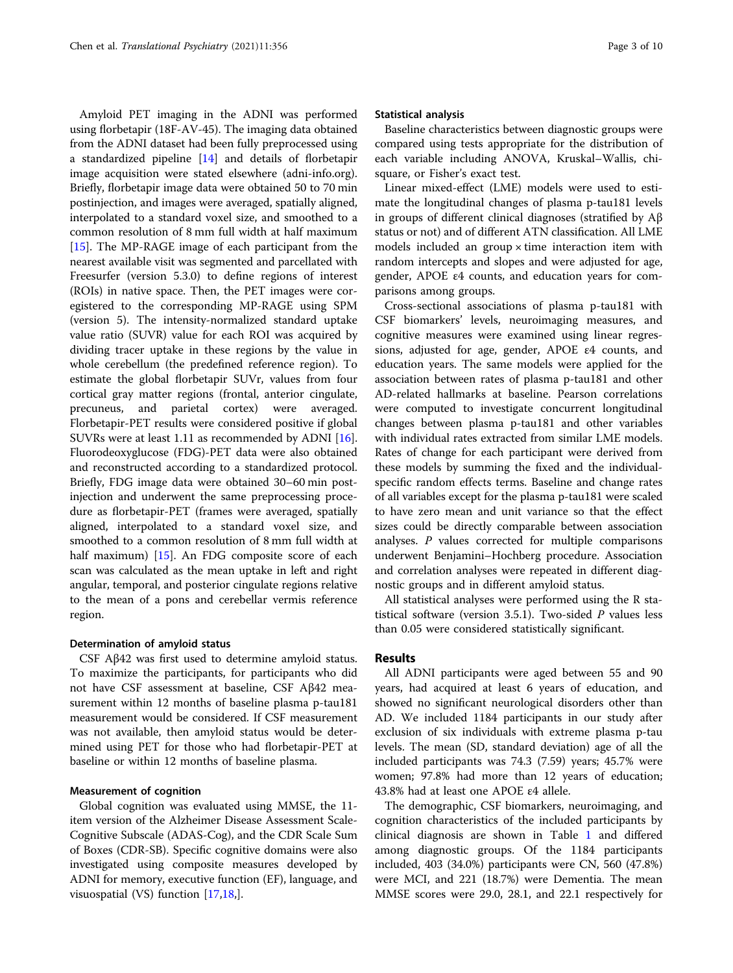Amyloid PET imaging in the ADNI was performed using florbetapir (18F-AV-45). The imaging data obtained from the ADNI dataset had been fully preprocessed using a standardized pipeline [\[14](#page-9-0)] and details of florbetapir image acquisition were stated elsewhere (adni-info.org). Briefly, florbetapir image data were obtained 50 to 70 min postinjection, and images were averaged, spatially aligned, interpolated to a standard voxel size, and smoothed to a common resolution of 8 mm full width at half maximum [[15\]](#page-9-0). The MP-RAGE image of each participant from the nearest available visit was segmented and parcellated with Freesurfer (version 5.3.0) to define regions of interest (ROIs) in native space. Then, the PET images were coregistered to the corresponding MP-RAGE using SPM (version 5). The intensity-normalized standard uptake value ratio (SUVR) value for each ROI was acquired by dividing tracer uptake in these regions by the value in whole cerebellum (the predefined reference region). To estimate the global florbetapir SUVr, values from four cortical gray matter regions (frontal, anterior cingulate, precuneus, and parietal cortex) were averaged. Florbetapir-PET results were considered positive if global SUVRs were at least 1.11 as recommended by ADNI [[16](#page-9-0)]. Fluorodeoxyglucose (FDG)-PET data were also obtained and reconstructed according to a standardized protocol. Briefly, FDG image data were obtained 30–60 min postinjection and underwent the same preprocessing procedure as florbetapir-PET (frames were averaged, spatially aligned, interpolated to a standard voxel size, and smoothed to a common resolution of 8 mm full width at half maximum) [\[15\]](#page-9-0). An FDG composite score of each scan was calculated as the mean uptake in left and right angular, temporal, and posterior cingulate regions relative to the mean of a pons and cerebellar vermis reference region.

#### Determination of amyloid status

CSF Aβ42 was first used to determine amyloid status. To maximize the participants, for participants who did not have CSF assessment at baseline, CSF Aβ42 measurement within 12 months of baseline plasma p-tau181 measurement would be considered. If CSF measurement was not available, then amyloid status would be determined using PET for those who had florbetapir-PET at baseline or within 12 months of baseline plasma.

# Measurement of cognition

Global cognition was evaluated using MMSE, the 11 item version of the Alzheimer Disease Assessment Scale-Cognitive Subscale (ADAS-Cog), and the CDR Scale Sum of Boxes (CDR-SB). Specific cognitive domains were also investigated using composite measures developed by ADNI for memory, executive function (EF), language, and visuospatial (VS) function [[17,18](#page-9-0),].

#### Statistical analysis

Baseline characteristics between diagnostic groups were compared using tests appropriate for the distribution of each variable including ANOVA, Kruskal–Wallis, chisquare, or Fisher's exact test.

Linear mixed-effect (LME) models were used to estimate the longitudinal changes of plasma p-tau181 levels in groups of different clinical diagnoses (stratified by Aβ status or not) and of different ATN classification. All LME models included an group  $\times$  time interaction item with random intercepts and slopes and were adjusted for age, gender, APOE ε4 counts, and education years for comparisons among groups.

Cross-sectional associations of plasma p-tau181 with CSF biomarkers' levels, neuroimaging measures, and cognitive measures were examined using linear regressions, adjusted for age, gender, APOE ε4 counts, and education years. The same models were applied for the association between rates of plasma p-tau181 and other AD-related hallmarks at baseline. Pearson correlations were computed to investigate concurrent longitudinal changes between plasma p-tau181 and other variables with individual rates extracted from similar LME models. Rates of change for each participant were derived from these models by summing the fixed and the individualspecific random effects terms. Baseline and change rates of all variables except for the plasma p-tau181 were scaled to have zero mean and unit variance so that the effect sizes could be directly comparable between association analyses. P values corrected for multiple comparisons underwent Benjamini–Hochberg procedure. Association and correlation analyses were repeated in different diagnostic groups and in different amyloid status.

All statistical analyses were performed using the R statistical software (version 3.5.1). Two-sided  $P$  values less than 0.05 were considered statistically significant.

# Results

All ADNI participants were aged between 55 and 90 years, had acquired at least 6 years of education, and showed no significant neurological disorders other than AD. We included 1184 participants in our study after exclusion of six individuals with extreme plasma p-tau levels. The mean (SD, standard deviation) age of all the included participants was 74.3 (7.59) years; 45.7% were women; 97.8% had more than 12 years of education; 43.8% had at least one APOE ε4 allele.

The demographic, CSF biomarkers, neuroimaging, and cognition characteristics of the included participants by clinical diagnosis are shown in Table [1](#page-3-0) and differed among diagnostic groups. Of the 1184 participants included, 403 (34.0%) participants were CN, 560 (47.8%) were MCI, and 221 (18.7%) were Dementia. The mean MMSE scores were 29.0, 28.1, and 22.1 respectively for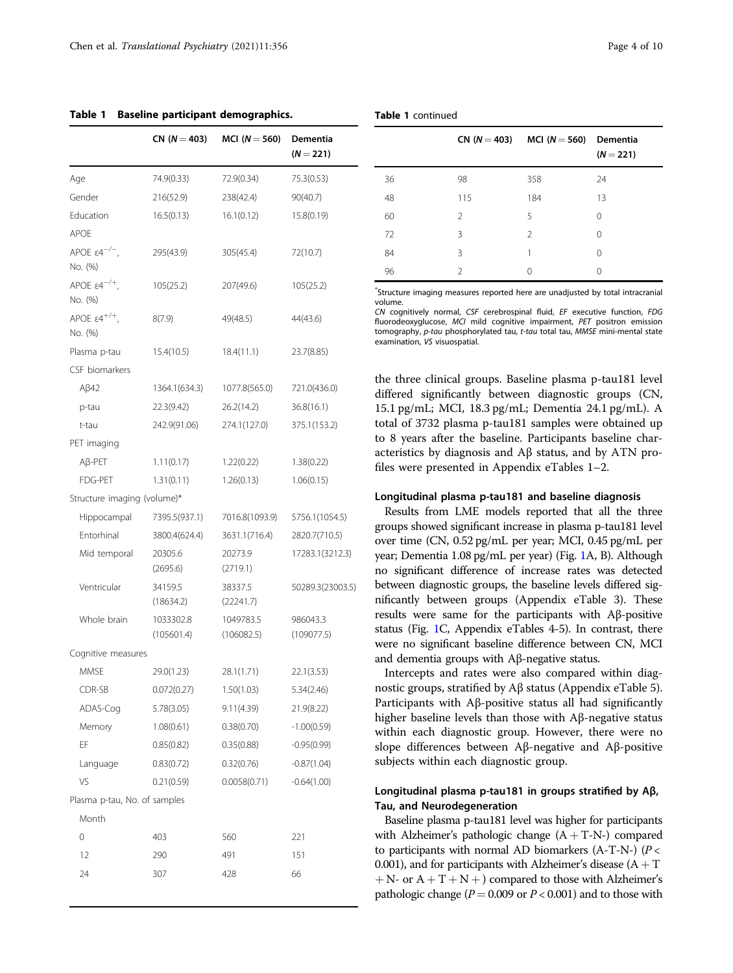<span id="page-3-0"></span>Table 1 Baseline participant demographics.

|                                         | CN $(N = 403)$          | $MCI (N = 560)$         | Dementia<br>$(N = 221)$ |  |
|-----------------------------------------|-------------------------|-------------------------|-------------------------|--|
| Age                                     | 74.9(0.33)              | 72.9(0.34)              | 75.3(0.53)              |  |
| Gender                                  | 216(52.9)               | 238(42.4)               | 90(40.7)                |  |
| Education                               | 16.5(0.13)              | 16.1(0.12)              | 15.8(0.19)              |  |
| <b>APOE</b>                             |                         |                         |                         |  |
| APOE $\varepsilon 4^{-/-}$ ,<br>No. (%) | 295(43.9)               | 305(45.4)               | 72(10.7)                |  |
| APOE $\varepsilon 4^{-/+}$ .<br>No. (%) | 105(25.2)               | 207(49.6)               | 105(25.2)               |  |
| APOE $\varepsilon4^{+/+}$ ,<br>No. (%)  | 8(7.9)                  | 49(48.5)                | 44(43.6)                |  |
| Plasma p-tau                            | 15.4(10.5)              | 18.4(11.1)              | 23.7(8.85)              |  |
| CSF biomarkers                          |                         |                         |                         |  |
| $A\beta42$                              | 1364.1(634.3)           | 1077.8(565.0)           | 721.0(436.0)            |  |
| p-tau                                   | 22.3(9.42)              | 26.2(14.2)              | 36.8(16.1)              |  |
| t-tau                                   | 242.9(91.06)            | 274.1(127.0)            | 375.1(153.2)            |  |
| PET imaging                             |                         |                         |                         |  |
| $A\beta$ -PET                           | 1.11(0.17)              | 1.22(0.22)              | 1.38(0.22)              |  |
| FDG-PFT                                 | 1.31(0.11)              | 1.26(0.13)              | 1.06(0.15)              |  |
| Structure imaging (volume)*             |                         |                         |                         |  |
| Hippocampal                             | 7395.5(937.1)           | 7016.8(1093.9)          | 5756.1(1054.5)          |  |
| Entorhinal                              | 3800.4(624.4)           | 3631.1(716.4)           | 2820.7(710.5)           |  |
| Mid temporal                            | 20305.6<br>(2695.6)     | 20273.9<br>(2719.1)     | 17283.1(3212.3)         |  |
| Ventricular                             | 34159.5<br>(18634.2)    | 38337.5<br>(22241.7)    | 50289.3(23003.5)        |  |
| Whole brain                             | 1033302.8<br>(105601.4) | 1049783.5<br>(106082.5) | 986043.3<br>(109077.5)  |  |
| Cognitive measures                      |                         |                         |                         |  |
| <b>MMSF</b>                             | 29.0(1.23)              | 28.1(1.71)              | 22.1(3.53)              |  |
| $CDR-SB$                                | 0.072(0.27)             | 1.50(1.03)              | 5.34(2.46)              |  |
| ADAS-Cog                                | 5.78(3.05)              | 9.11(4.39)              | 21.9(8.22)              |  |
| Memory                                  | 1.08(0.61)              | 0.38(0.70)              | $-1.00(0.59)$           |  |
| EF                                      | 0.85(0.82)              | 0.35(0.88)              | $-0.95(0.99)$           |  |
| Language                                | 0.83(0.72)              | 0.32(0.76)              | $-0.87(1.04)$           |  |
| VS                                      | 0.21(0.59)              | 0.0058(0.71)            | $-0.64(1.00)$           |  |
| Plasma p-tau, No. of samples            |                         |                         |                         |  |
| Month                                   |                         |                         |                         |  |
| 0                                       | 403                     | 560                     | 221                     |  |
| 12                                      | 290                     | 491                     | 151                     |  |
| 24                                      | 307                     | 428                     | 66                      |  |

Table 1 continued

|    |                | CN $(N = 403)$ MCI $(N = 560)$ Dementia | $(N = 221)$ |
|----|----------------|-----------------------------------------|-------------|
| 36 | 98             | 358                                     | 24          |
| 48 | 115            | 184                                     | 13          |
| 60 | $\mathcal{P}$  | 5                                       | $\Omega$    |
| 72 | 3              | $\mathfrak{D}$                          | $\Omega$    |
| 84 | 3              | 1                                       | $\Omega$    |
| 96 | $\mathfrak{D}$ | $\Omega$                                | $\Omega$    |

\* Structure imaging measures reported here are unadjusted by total intracranial volume.<br>CN cognitively normal. CSE cerebrospinal fluid. EE executive function. EDG

CN cognitively normal, CSF cerebrospinal fluid, EF executive function, FDG<br>fluorodeoxyglucose, MCI mild cognitive impairment, PET positron emission<br>tomography, p-tau phosphorylated tau, t-tau total tau, MMSF mini-mental st tomography, p-tau phosphorylated tau, t-tau total tau, MMSE mini-mental state examination, VS visuospatial.

the three clinical groups. Baseline plasma p-tau181 level differed significantly between diagnostic groups (CN, 15.1 pg/mL; MCI, 18.3 pg/mL; Dementia 24.1 pg/mL). A total of 3732 plasma p-tau181 samples were obtained up to 8 years after the baseline. Participants baseline characteristics by diagnosis and Aβ status, and by ATN profiles were presented in Appendix eTables 1–2.

# Longitudinal plasma p-tau181 and baseline diagnosis

Results from LME models reported that all the three groups showed significant increase in plasma p-tau181 level over time (CN, 0.52 pg/mL per year; MCI, 0.45 pg/mL per year; Dementia 1.08 pg/mL per year) (Fig. [1](#page-4-0)A, B). Although no significant difference of increase rates was detected between diagnostic groups, the baseline levels differed significantly between groups (Appendix eTable 3). These results were same for the participants with Aβ-positive status (Fig. [1](#page-4-0)C, Appendix eTables 4-5). In contrast, there were no significant baseline difference between CN, MCI and dementia groups with Aβ-negative status.

Intercepts and rates were also compared within diagnostic groups, stratified by Aβ status (Appendix eTable 5). Participants with Aβ-positive status all had significantly higher baseline levels than those with Aβ-negative status within each diagnostic group. However, there were no slope differences between Aβ-negative and Aβ-positive subjects within each diagnostic group.

# Longitudinal plasma p-tau181 in groups stratified by Aβ, Tau, and Neurodegeneration

Baseline plasma p-tau181 level was higher for participants with Alzheimer's pathologic change  $(A + T-N-)$  compared to participants with normal AD biomarkers (A-T-N-) ( $P <$ 0.001), and for participants with Alzheimer's disease  $(A + T)$  $+ N$ - or  $A + T + N +$ ) compared to those with Alzheimer's pathologic change ( $P = 0.009$  or  $P < 0.001$ ) and to those with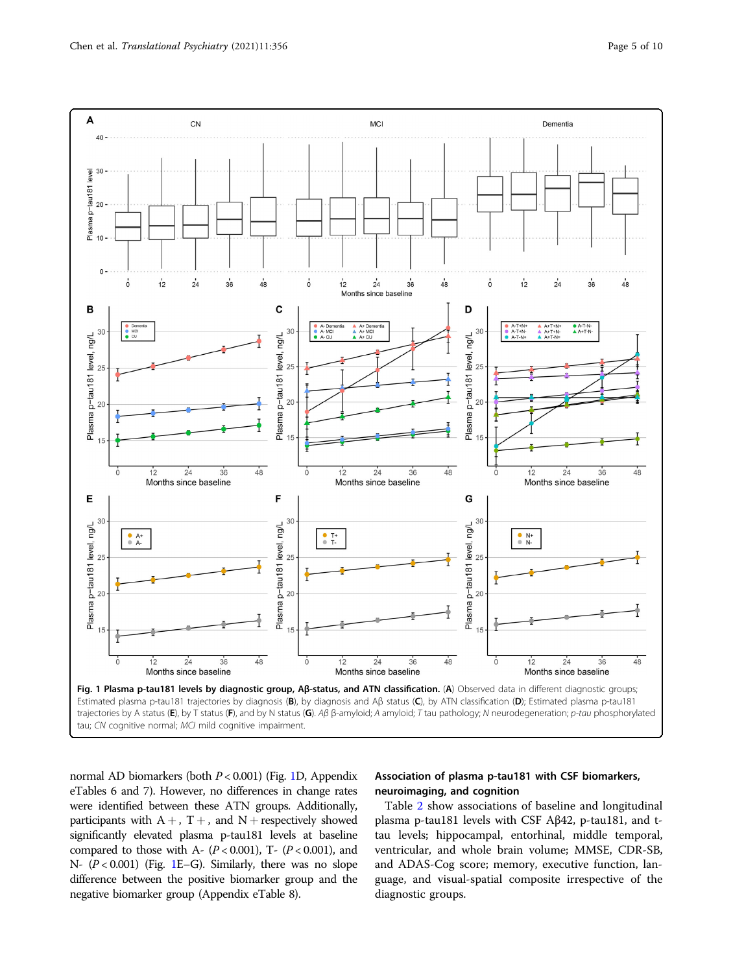<span id="page-4-0"></span>

tau; CN cognitive normal; MCI mild cognitive impairment.

normal AD biomarkers (both P < 0.001) (Fig. 1D, Appendix eTables 6 and 7). However, no differences in change rates were identified between these ATN groups. Additionally, participants with  $A +$ , T +, and N + respectively showed significantly elevated plasma p-tau181 levels at baseline compared to those with A-  $(P < 0.001)$ , T-  $(P < 0.001)$ , and N-  $(P < 0.001)$  (Fig. 1E-G). Similarly, there was no slope difference between the positive biomarker group and the negative biomarker group (Appendix eTable 8).

# Association of plasma p-tau181 with CSF biomarkers, neuroimaging, and cognition

Table [2](#page-5-0) show associations of baseline and longitudinal plasma p-tau181 levels with CSF Aβ42, p-tau181, and ttau levels; hippocampal, entorhinal, middle temporal, ventricular, and whole brain volume; MMSE, CDR-SB, and ADAS-Cog score; memory, executive function, language, and visual-spatial composite irrespective of the diagnostic groups.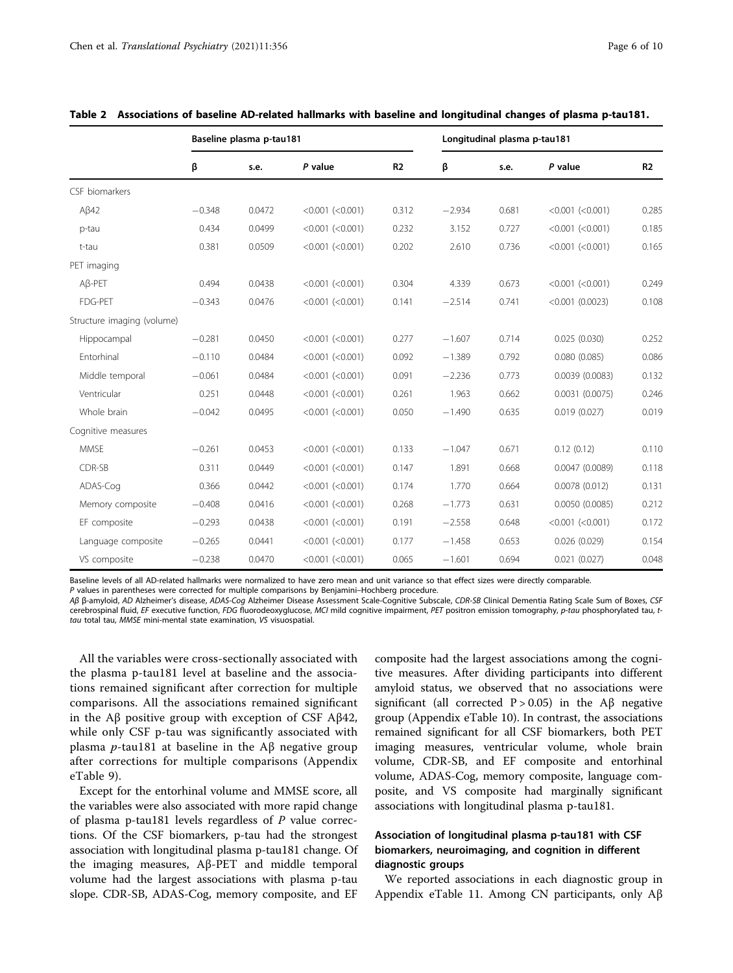|                            | Baseline plasma p-tau181 |        |                       |       | Longitudinal plasma p-tau181 |       |                       |       |
|----------------------------|--------------------------|--------|-----------------------|-------|------------------------------|-------|-----------------------|-------|
|                            | β                        | s.e.   | P value               | R2    | β                            | s.e.  | P value               | R2    |
| CSF biomarkers             |                          |        |                       |       |                              |       |                       |       |
| $A\beta42$                 | $-0.348$                 | 0.0472 | $< 0.001$ $(< 0.001)$ | 0.312 | $-2.934$                     | 0.681 | $< 0.001$ $(< 0.001)$ | 0.285 |
| p-tau                      | 0.434                    | 0.0499 | $< 0.001$ $(< 0.001)$ | 0.232 | 3.152                        | 0.727 | $< 0.001$ $(< 0.001)$ | 0.185 |
| t-tau                      | 0.381                    | 0.0509 | $< 0.001$ $(< 0.001)$ | 0.202 | 2.610                        | 0.736 | $< 0.001$ $(< 0.001)$ | 0.165 |
| PET imaging                |                          |        |                       |       |                              |       |                       |       |
| $AB-PET$                   | 0.494                    | 0.0438 | $< 0.001$ $(< 0.001)$ | 0.304 | 4.339                        | 0.673 | $< 0.001$ $(< 0.001)$ | 0.249 |
| <b>FDG-PET</b>             | $-0.343$                 | 0.0476 | $< 0.001$ $(< 0.001)$ | 0.141 | $-2.514$                     | 0.741 | $< 0.001$ (0.0023)    | 0.108 |
| Structure imaging (volume) |                          |        |                       |       |                              |       |                       |       |
| Hippocampal                | $-0.281$                 | 0.0450 | $< 0.001$ $(< 0.001)$ | 0.277 | $-1.607$                     | 0.714 | 0.025(0.030)          | 0.252 |
| Entorhinal                 | $-0.110$                 | 0.0484 | $< 0.001$ $(< 0.001)$ | 0.092 | $-1.389$                     | 0.792 | 0.080(0.085)          | 0.086 |
| Middle temporal            | $-0.061$                 | 0.0484 | $< 0.001$ $(< 0.001)$ | 0.091 | $-2.236$                     | 0.773 | 0.0039(0.0083)        | 0.132 |
| Ventricular                | 0.251                    | 0.0448 | $< 0.001$ $(< 0.001)$ | 0.261 | 1.963                        | 0.662 | 0.0031(0.0075)        | 0.246 |
| Whole brain                | $-0.042$                 | 0.0495 | $< 0.001$ $(< 0.001)$ | 0.050 | $-1.490$                     | 0.635 | 0.019(0.027)          | 0.019 |
| Cognitive measures         |                          |        |                       |       |                              |       |                       |       |
| <b>MMSE</b>                | $-0.261$                 | 0.0453 | $< 0.001$ $(< 0.001)$ | 0.133 | $-1.047$                     | 0.671 | 0.12(0.12)            | 0.110 |
| CDR-SB                     | 0.311                    | 0.0449 | $< 0.001$ $(< 0.001)$ | 0.147 | 1.891                        | 0.668 | 0.0047(0.0089)        | 0.118 |
| ADAS-Cog                   | 0.366                    | 0.0442 | $< 0.001$ $(< 0.001)$ | 0.174 | 1.770                        | 0.664 | 0.0078(0.012)         | 0.131 |
| Memory composite           | $-0.408$                 | 0.0416 | $< 0.001$ $(< 0.001)$ | 0.268 | $-1.773$                     | 0.631 | 0.0050(0.0085)        | 0.212 |
| EF composite               | $-0.293$                 | 0.0438 | $< 0.001$ $(< 0.001)$ | 0.191 | $-2.558$                     | 0.648 | $< 0.001$ $(< 0.001)$ | 0.172 |
| Language composite         | $-0.265$                 | 0.0441 | $< 0.001$ $(< 0.001)$ | 0.177 | $-1.458$                     | 0.653 | 0.026(0.029)          | 0.154 |
| VS composite               | $-0.238$                 | 0.0470 | $< 0.001$ $(< 0.001)$ | 0.065 | $-1.601$                     | 0.694 | 0.021(0.027)          | 0.048 |

<span id="page-5-0"></span>

|  | Table 2 Associations of baseline AD-related hallmarks with baseline and longitudinal changes of plasma p-tau181. |  |  |  |  |  |  |  |  |
|--|------------------------------------------------------------------------------------------------------------------|--|--|--|--|--|--|--|--|
|--|------------------------------------------------------------------------------------------------------------------|--|--|--|--|--|--|--|--|

Baseline levels of all AD-related hallmarks were normalized to have zero mean and unit variance so that effect sizes were directly comparable. P values in parentheses were corrected for multiple comparisons by Benjamini–Hochberg procedure.

A<sup>β</sup> <sup>β</sup>-amyloid, AD Alzheimer's disease, ADAS-Cog Alzheimer Disease Assessment Scale-Cognitive Subscale, CDR-SB Clinical Dementia Rating Scale Sum of Boxes, CSF cerebrospinal fluid, EF executive function, FDG fluorodeoxyglucose, MCI mild cognitive impairment, PET positron emission tomography, p-tau phosphorylated tau, ttau total tau, MMSE mini-mental state examination, VS visuospatial.

All the variables were cross-sectionally associated with the plasma p-tau181 level at baseline and the associations remained significant after correction for multiple comparisons. All the associations remained significant in the Aβ positive group with exception of CSF Aβ42, while only CSF p-tau was significantly associated with plasma *p*-tau181 at baseline in the Aβ negative group after corrections for multiple comparisons (Appendix eTable 9).

Except for the entorhinal volume and MMSE score, all the variables were also associated with more rapid change of plasma p-tau181 levels regardless of P value corrections. Of the CSF biomarkers, p-tau had the strongest association with longitudinal plasma p-tau181 change. Of the imaging measures, Aβ-PET and middle temporal volume had the largest associations with plasma p-tau slope. CDR-SB, ADAS-Cog, memory composite, and EF

composite had the largest associations among the cognitive measures. After dividing participants into different amyloid status, we observed that no associations were significant (all corrected  $P > 0.05$ ) in the A $\beta$  negative group (Appendix eTable 10). In contrast, the associations remained significant for all CSF biomarkers, both PET imaging measures, ventricular volume, whole brain volume, CDR-SB, and EF composite and entorhinal volume, ADAS-Cog, memory composite, language composite, and VS composite had marginally significant associations with longitudinal plasma p-tau181.

# Association of longitudinal plasma p-tau181 with CSF biomarkers, neuroimaging, and cognition in different diagnostic groups

We reported associations in each diagnostic group in Appendix eTable 11. Among CN participants, only Aβ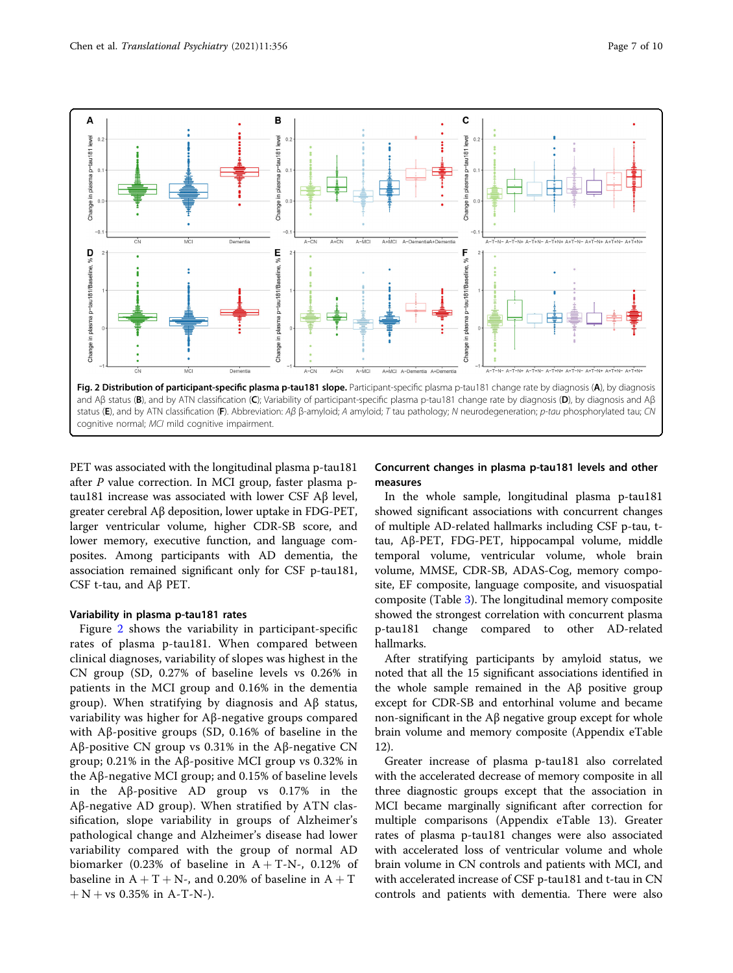

PET was associated with the longitudinal plasma p-tau181 after P value correction. In MCI group, faster plasma ptau181 increase was associated with lower CSF Aβ level, greater cerebral Aβ deposition, lower uptake in FDG-PET, larger ventricular volume, higher CDR-SB score, and lower memory, executive function, and language composites. Among participants with AD dementia, the association remained significant only for CSF p-tau181, CSF t-tau, and Aβ PET.

# Variability in plasma p-tau181 rates

Figure 2 shows the variability in participant-specific rates of plasma p-tau181. When compared between clinical diagnoses, variability of slopes was highest in the CN group (SD, 0.27% of baseline levels vs 0.26% in patients in the MCI group and 0.16% in the dementia group). When stratifying by diagnosis and Aβ status, variability was higher for Aβ-negative groups compared with Aβ-positive groups (SD, 0.16% of baseline in the Aβ-positive CN group vs 0.31% in the Aβ-negative CN group; 0.21% in the Aβ-positive MCI group vs 0.32% in the Aβ-negative MCI group; and 0.15% of baseline levels in the Aβ-positive AD group vs 0.17% in the Aβ-negative AD group). When stratified by ATN classification, slope variability in groups of Alzheimer's pathological change and Alzheimer's disease had lower variability compared with the group of normal AD biomarker (0.23% of baseline in  $A + T-N$ -, 0.12% of baseline in  $A + T + N$ -, and 0.20% of baseline in  $A + T$  $+ N + vs 0.35\%$  in A-T-N-).

# Concurrent changes in plasma p-tau181 levels and other measures

In the whole sample, longitudinal plasma p-tau181 showed significant associations with concurrent changes of multiple AD-related hallmarks including CSF p-tau, ttau, Aβ-PET, FDG-PET, hippocampal volume, middle temporal volume, ventricular volume, whole brain volume, MMSE, CDR-SB, ADAS-Cog, memory composite, EF composite, language composite, and visuospatial composite (Table [3\)](#page-7-0). The longitudinal memory composite showed the strongest correlation with concurrent plasma p-tau181 change compared to other AD-related hallmarks.

After stratifying participants by amyloid status, we noted that all the 15 significant associations identified in the whole sample remained in the Aβ positive group except for CDR-SB and entorhinal volume and became non-significant in the Aβ negative group except for whole brain volume and memory composite (Appendix eTable 12).

Greater increase of plasma p-tau181 also correlated with the accelerated decrease of memory composite in all three diagnostic groups except that the association in MCI became marginally significant after correction for multiple comparisons (Appendix eTable 13). Greater rates of plasma p-tau181 changes were also associated with accelerated loss of ventricular volume and whole brain volume in CN controls and patients with MCI, and with accelerated increase of CSF p-tau181 and t-tau in CN controls and patients with dementia. There were also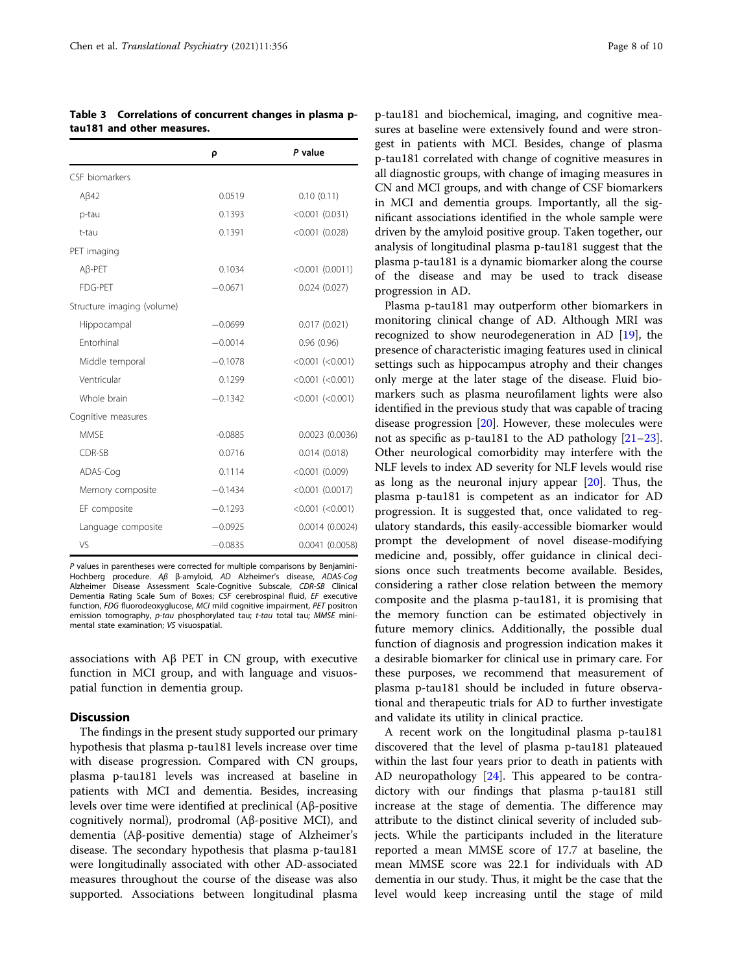|                            | ρ         | P value                 |
|----------------------------|-----------|-------------------------|
| CSF biomarkers             |           |                         |
| $A\beta42$                 | 0.0519    | 0.10(0.11)              |
| p-tau                      | 0.1393    | $< 0.001$ (0.031)       |
| t-tau                      | 0.1391    | $< 0.001$ (0.028)       |
| PET imaging                |           |                         |
| $AB-PET$                   | 0.1034    | $< 0.001$ (0.0011)      |
| <b>FDG-PET</b>             | $-0.0671$ | 0.024(0.027)            |
| Structure imaging (volume) |           |                         |
| Hippocampal                | $-0.0699$ | 0.017(0.021)            |
| <b>Fntorhinal</b>          | $-0.0014$ | 0.96(0.96)              |
| Middle temporal            | $-0.1078$ | $< 0.001$ ( $< 0.001$ ) |
| Ventricular                | 0.1299    | $< 0.001$ $(< 0.001)$   |
| Whole brain                | $-0.1342$ | $< 0.001$ $(< 0.001)$   |
| Cognitive measures         |           |                         |
| <b>MMSF</b>                | $-0.0885$ | 0.0023 (0.0036)         |
| CDR-SB                     | 0.0716    | 0.014(0.018)            |
| ADAS-Cog                   | 0.1114    | $< 0.001$ (0.009)       |
| Memory composite           | $-0.1434$ | $< 0.001$ (0.0017)      |
| EF composite               | $-0.1293$ | $< 0.001$ $(< 0.001)$   |
| Language composite         | $-0.0925$ | 0.0014(0.0024)          |
| VS.                        | $-0.0835$ | 0.0041 (0.0058)         |

P values in parentheses were corrected for multiple comparisons by Benjamini-<br>Hochberg - procedure. - Αβ- β-amyloid, - ΑD - Alzheimer's - disease, - ADAS-Cog<br>Alzheimer - Disease - Assessment - Scale-Cognitive - Subscale -Alzheimer Disease Assessment Scale-Cognitive Subscale, CDR-SB Clinical Dementia Rating Scale Sum of Boxes; CSF cerebrospinal fluid, EF executive function, FDG fluorodeoxyglucose, MCI mild cognitive impairment, PET positron emission tomography, p-tau phosphorylated tau; t-tau total tau; MMSE minimental state examination; VS visuospatial.

associations with Aβ PET in CN group, with executive function in MCI group, and with language and visuospatial function in dementia group.

# **Discussion**

The findings in the present study supported our primary hypothesis that plasma p-tau181 levels increase over time with disease progression. Compared with CN groups, plasma p-tau181 levels was increased at baseline in patients with MCI and dementia. Besides, increasing levels over time were identified at preclinical (Aβ-positive cognitively normal), prodromal (Aβ-positive MCI), and dementia (Aβ-positive dementia) stage of Alzheimer's disease. The secondary hypothesis that plasma p-tau181 were longitudinally associated with other AD-associated measures throughout the course of the disease was also supported. Associations between longitudinal plasma

p-tau181 and biochemical, imaging, and cognitive measures at baseline were extensively found and were strongest in patients with MCI. Besides, change of plasma p-tau181 correlated with change of cognitive measures in all diagnostic groups, with change of imaging measures in CN and MCI groups, and with change of CSF biomarkers in MCI and dementia groups. Importantly, all the significant associations identified in the whole sample were driven by the amyloid positive group. Taken together, our analysis of longitudinal plasma p-tau181 suggest that the plasma p-tau181 is a dynamic biomarker along the course of the disease and may be used to track disease progression in AD.

Plasma p-tau181 may outperform other biomarkers in monitoring clinical change of AD. Although MRI was recognized to show neurodegeneration in AD [\[19](#page-9-0)], the presence of characteristic imaging features used in clinical settings such as hippocampus atrophy and their changes only merge at the later stage of the disease. Fluid biomarkers such as plasma neurofilament lights were also identified in the previous study that was capable of tracing disease progression [\[20](#page-9-0)]. However, these molecules were not as specific as p-tau181 to the AD pathology [[21](#page-9-0)–[23](#page-9-0)]. Other neurological comorbidity may interfere with the NLF levels to index AD severity for NLF levels would rise as long as the neuronal injury appear  $[20]$  $[20]$ . Thus, the plasma p-tau181 is competent as an indicator for AD progression. It is suggested that, once validated to regulatory standards, this easily-accessible biomarker would prompt the development of novel disease-modifying medicine and, possibly, offer guidance in clinical decisions once such treatments become available. Besides, considering a rather close relation between the memory composite and the plasma p-tau181, it is promising that the memory function can be estimated objectively in future memory clinics. Additionally, the possible dual function of diagnosis and progression indication makes it a desirable biomarker for clinical use in primary care. For these purposes, we recommend that measurement of plasma p-tau181 should be included in future observational and therapeutic trials for AD to further investigate and validate its utility in clinical practice.

A recent work on the longitudinal plasma p-tau181 discovered that the level of plasma p-tau181 plateaued within the last four years prior to death in patients with AD neuropathology [[24\]](#page-9-0). This appeared to be contradictory with our findings that plasma p-tau181 still increase at the stage of dementia. The difference may attribute to the distinct clinical severity of included subjects. While the participants included in the literature reported a mean MMSE score of 17.7 at baseline, the mean MMSE score was 22.1 for individuals with AD dementia in our study. Thus, it might be the case that the level would keep increasing until the stage of mild

<span id="page-7-0"></span>Table 3 Correlations of concurrent changes in plasma ptau181 and other measures.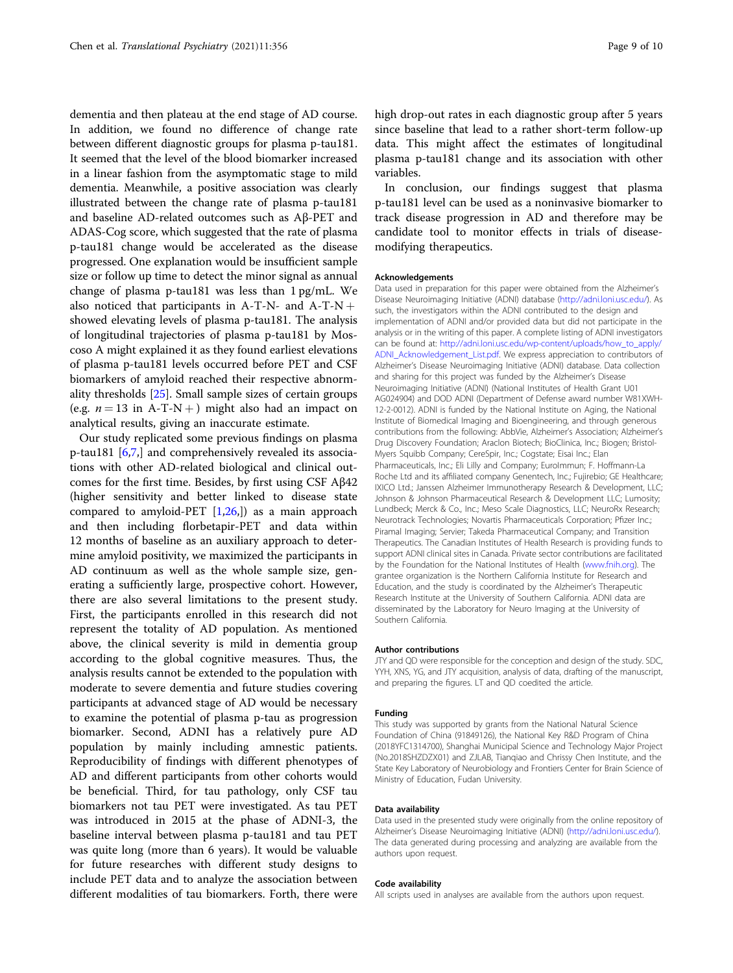dementia and then plateau at the end stage of AD course. In addition, we found no difference of change rate between different diagnostic groups for plasma p-tau181. It seemed that the level of the blood biomarker increased in a linear fashion from the asymptomatic stage to mild dementia. Meanwhile, a positive association was clearly illustrated between the change rate of plasma p-tau181 and baseline AD-related outcomes such as Aβ-PET and ADAS-Cog score, which suggested that the rate of plasma p-tau181 change would be accelerated as the disease progressed. One explanation would be insufficient sample size or follow up time to detect the minor signal as annual change of plasma p-tau181 was less than 1 pg/mL. We also noticed that participants in A-T-N- and A-T-N + showed elevating levels of plasma p-tau181. The analysis of longitudinal trajectories of plasma p-tau181 by Moscoso A might explained it as they found earliest elevations of plasma p-tau181 levels occurred before PET and CSF biomarkers of amyloid reached their respective abnormality thresholds [[25\]](#page-9-0). Small sample sizes of certain groups (e.g.  $n = 13$  in A-T-N +) might also had an impact on analytical results, giving an inaccurate estimate.

Our study replicated some previous findings on plasma p-tau181 [\[6,7](#page-9-0),] and comprehensively revealed its associations with other AD-related biological and clinical outcomes for the first time. Besides, by first using CSF Aβ42 (higher sensitivity and better linked to disease state compared to amyloid-PET  $[1,26,1)$  $[1,26,1)$  $[1,26,1)$  as a main approach and then including florbetapir-PET and data within 12 months of baseline as an auxiliary approach to determine amyloid positivity, we maximized the participants in AD continuum as well as the whole sample size, generating a sufficiently large, prospective cohort. However, there are also several limitations to the present study. First, the participants enrolled in this research did not represent the totality of AD population. As mentioned above, the clinical severity is mild in dementia group according to the global cognitive measures. Thus, the analysis results cannot be extended to the population with moderate to severe dementia and future studies covering participants at advanced stage of AD would be necessary to examine the potential of plasma p-tau as progression biomarker. Second, ADNI has a relatively pure AD population by mainly including amnestic patients. Reproducibility of findings with different phenotypes of AD and different participants from other cohorts would be beneficial. Third, for tau pathology, only CSF tau biomarkers not tau PET were investigated. As tau PET was introduced in 2015 at the phase of ADNI-3, the baseline interval between plasma p-tau181 and tau PET was quite long (more than 6 years). It would be valuable for future researches with different study designs to include PET data and to analyze the association between different modalities of tau biomarkers. Forth, there were

high drop-out rates in each diagnostic group after 5 years since baseline that lead to a rather short-term follow-up data. This might affect the estimates of longitudinal plasma p-tau181 change and its association with other variables.

In conclusion, our findings suggest that plasma p-tau181 level can be used as a noninvasive biomarker to track disease progression in AD and therefore may be candidate tool to monitor effects in trials of diseasemodifying therapeutics.

#### Acknowledgements

Data used in preparation for this paper were obtained from the Alzheimer's Disease Neuroimaging Initiative (ADNI) database [\(http://adni.loni.usc.edu/\)](http://adni.loni.usc.edu/). As such, the investigators within the ADNI contributed to the design and implementation of ADNI and/or provided data but did not participate in the analysis or in the writing of this paper. A complete listing of ADNI investigators can be found at: [http://adni.loni.usc.edu/wp-content/uploads/how\\_to\\_apply/](http://adni.loni.usc.edu/wp-content/uploads/how_to_apply/ADNI_Acknowledgement_List.pdf) [ADNI\\_Acknowledgement\\_List.pdf.](http://adni.loni.usc.edu/wp-content/uploads/how_to_apply/ADNI_Acknowledgement_List.pdf) We express appreciation to contributors of Alzheimer's Disease Neuroimaging Initiative (ADNI) database. Data collection and sharing for this project was funded by the Alzheimer's Disease Neuroimaging Initiative (ADNI) (National Institutes of Health Grant U01 AG024904) and DOD ADNI (Department of Defense award number W81XWH-12-2-0012). ADNI is funded by the National Institute on Aging, the National Institute of Biomedical Imaging and Bioengineering, and through generous contributions from the following: AbbVie, Alzheimer's Association; Alzheimer's Drug Discovery Foundation; Araclon Biotech; BioClinica, Inc.; Biogen; Bristol-Myers Squibb Company; CereSpir, Inc.; Cogstate; Eisai Inc.; Elan Pharmaceuticals, Inc.; Eli Lilly and Company; EuroImmun; F. Hoffmann-La Roche Ltd and its affiliated company Genentech, Inc.; Fujirebio; GE Healthcare; IXICO Ltd.; Janssen Alzheimer Immunotherapy Research & Development, LLC; Johnson & Johnson Pharmaceutical Research & Development LLC; Lumosity; Lundbeck; Merck & Co., Inc.; Meso Scale Diagnostics, LLC; NeuroRx Research; Neurotrack Technologies; Novartis Pharmaceuticals Corporation; Pfizer Inc.; Piramal Imaging; Servier; Takeda Pharmaceutical Company; and Transition Therapeutics. The Canadian Institutes of Health Research is providing funds to support ADNI clinical sites in Canada. Private sector contributions are facilitated by the Foundation for the National Institutes of Health [\(www.fnih.org\)](http://www.fnih.org). The grantee organization is the Northern California Institute for Research and Education, and the study is coordinated by the Alzheimer's Therapeutic Research Institute at the University of Southern California. ADNI data are disseminated by the Laboratory for Neuro Imaging at the University of Southern California.

#### Author contributions

JTY and QD were responsible for the conception and design of the study. SDC, YYH, XNS, YG, and JTY acquisition, analysis of data, drafting of the manuscript, and preparing the figures. LT and QD coedited the article.

#### Funding

This study was supported by grants from the National Natural Science Foundation of China (91849126), the National Key R&D Program of China (2018YFC1314700), Shanghai Municipal Science and Technology Major Project (No.2018SHZDZX01) and ZJLAB, Tianqiao and Chrissy Chen Institute, and the State Key Laboratory of Neurobiology and Frontiers Center for Brain Science of Ministry of Education, Fudan University.

#### Data availability

Data used in the presented study were originally from the online repository of Alzheimer's Disease Neuroimaging Initiative (ADNI) (<http://adni.loni.usc.edu/>). The data generated during processing and analyzing are available from the authors upon request.

#### Code availability

All scripts used in analyses are available from the authors upon request.